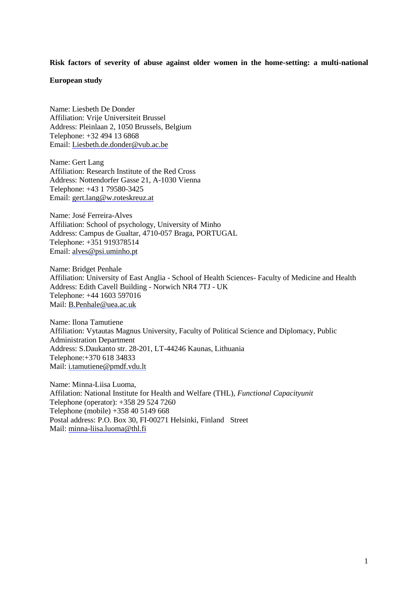# **Risk factors of severity of abuse against older women in the home-setting: a multi-national**

# **European study**

Name: Liesbeth De Donder Affiliation: Vrije Universiteit Brussel Address: Pleinlaan 2, 1050 Brussels, Belgium Telephone: +32 494 13 6868 Email: Liesbeth.de.donder@vub.ac.be

Name: Gert Lang Affiliation: Research Institute of the Red Cross Address: Nottendorfer Gasse 21, A-1030 Vienna Telephone: +43 1 79580-3425 Email: [gert.lang@w.roteskreuz.at](mailto:gert.lang@w.roteskreuz.at)

Name: José Ferreira-Alves Affiliation: School of psychology, University of Minho Address: Campus de Gualtar, 4710-057 Braga, PORTUGAL Telephone: +351 919378514 Email: [alves@psi.uminho.pt](mailto:alves@psi.uminho.pt)

Name: Bridget Penhale Affiliation: University of East Anglia - School of Health Sciences- Faculty of Medicine and Health Address: Edith Cavell Building - Norwich NR4 7TJ - UK Telephone: +44 1603 597016 Mail: [B.Penhale@uea.ac.uk](mailto:B.Penhale@uea.ac.uk)

Name: Ilona Tamutiene Affiliation: Vytautas Magnus University, Faculty of Political Science and Diplomacy, Public Administration Department Address: S.Daukanto str. 28-201, LT-44246 Kaunas, Lithuania Telephone:+370 618 34833 Mail: [i.tamutiene@pmdf.vdu.lt](mailto:i.tamutiene@pmdf.vdu.lt)

Name: Minna-Liisa Luoma, Affilation: National Institute for Health and Welfare (THL), *Functional Capacityunit* Telephone (operator): +358 29 524 7260 Telephone (mobile) +358 40 5149 668 Postal address: P.O. Box 30, FI-00271 Helsinki, Finland Street Mail: [minna-liisa.luoma@thl.fi](mailto:minna-liisa.luoma@thl.fi)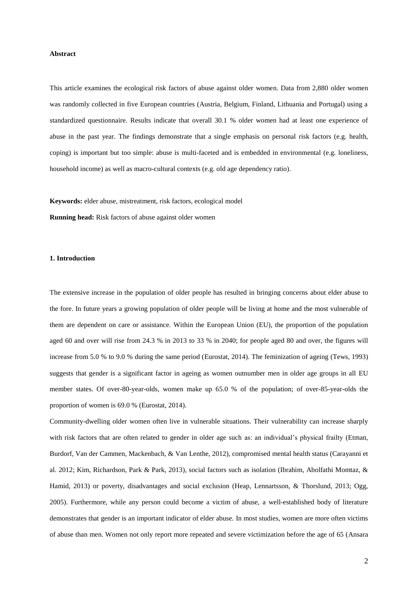## **Abstract**

This article examines the ecological risk factors of abuse against older women. Data from 2,880 older women was randomly collected in five European countries (Austria, Belgium, Finland, Lithuania and Portugal) using a standardized questionnaire. Results indicate that overall 30.1 % older women had at least one experience of abuse in the past year. The findings demonstrate that a single emphasis on personal risk factors (e.g. health, coping) is important but too simple: abuse is multi-faceted and is embedded in environmental (e.g. loneliness, household income) as well as macro-cultural contexts (e.g. old age dependency ratio).

**Keywords:** elder abuse, mistreatment, risk factors, ecological model

**Running head:** Risk factors of abuse against older women

## **1. Introduction**

The extensive increase in the population of older people has resulted in bringing concerns about elder abuse to the fore. In future years a growing population of older people will be living at home and the most vulnerable of them are dependent on care or assistance. Within the European Union (EU), the proportion of the population aged 60 and over will rise from 24.3 % in 2013 to 33 % in 2040; for people aged 80 and over, the figures will increase from 5.0 % to 9.0 % during the same period (Eurostat, 2014). The feminization of ageing (Tews, 1993) suggests that gender is a significant factor in ageing as women outnumber men in older age groups in all EU member states. Of over-80-year-olds, women make up 65.0 % of the population; of over-85-year-olds the proportion of women is 69.0 % (Eurostat, 2014).

Community-dwelling older women often live in vulnerable situations. Their vulnerability can increase sharply with risk factors that are often related to gender in older age such as: an individual's physical frailty (Etman, Burdorf, Van der Cammen, Mackenbach, & Van Lenthe, 2012), compromised mental health status (Carayanni et al. 2012; Kim, Richardson, Park & Park, 2013), social factors such as isolation (Ibrahim, Abolfathi Momtaz, & Hamid, 2013) or poverty, disadvantages and social exclusion (Heap, Lennartsson, & Thorslund, 2013; Ogg, 2005). Furthermore, while any person could become a victim of abuse, a well-established body of literature demonstrates that gender is an important indicator of elder abuse. In most studies, women are more often victims of abuse than men. Women not only report more repeated and severe victimization before the age of 65 (Ansara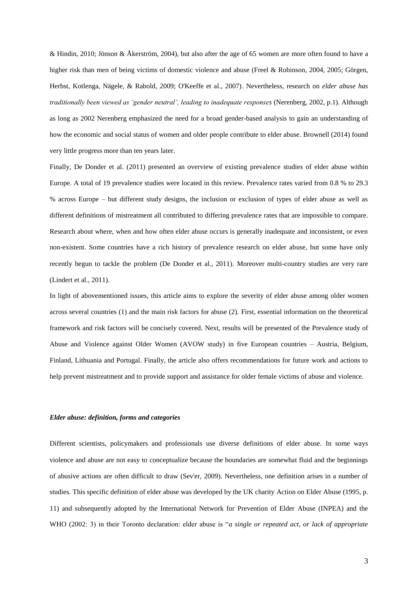& Hindin, 2010; Jönson & Åkerström, 2004), but also after the age of 65 women are more often found to have a higher risk than men of being victims of domestic violence and abuse (Freel & Robinson, 2004, 2005; Görgen, Herbst, Kotlenga, Nägele, & Rabold, 2009; O'Keeffe et al., 2007). Nevertheless, research on *elder abuse has traditionally been viewed as 'gender neutral', leading to inadequate responses* (Nerenberg, 2002, p.1). Although as long as 2002 Nerenberg emphasized the need for a broad gender-based analysis to gain an understanding of how the economic and social status of women and older people contribute to elder abuse. Brownell (2014) found very little progress more than ten years later.

Finally, De Donder et al. (2011) presented an overview of existing prevalence studies of elder abuse within Europe. A total of 19 prevalence studies were located in this review. Prevalence rates varied from 0.8 % to 29.3 % across Europe – but different study designs, the inclusion or exclusion of types of elder abuse as well as different definitions of mistreatment all contributed to differing prevalence rates that are impossible to compare. Research about where, when and how often elder abuse occurs is generally inadequate and inconsistent, or even non-existent. Some countries have a rich history of prevalence research on elder abuse, but some have only recently begun to tackle the problem (De Donder et al., 2011). Moreover multi-country studies are very rare (Lindert et al., 2011).

In light of abovementioned issues, this article aims to explore the severity of elder abuse among older women across several countries (1) and the main risk factors for abuse (2). First, essential information on the theoretical framework and risk factors will be concisely covered. Next, results will be presented of the Prevalence study of Abuse and Violence against Older Women (AVOW study) in five European countries – Austria, Belgium, Finland, Lithuania and Portugal. Finally, the article also offers recommendations for future work and actions to help prevent mistreatment and to provide support and assistance for older female victims of abuse and violence.

## *Elder abuse: definition, forms and categories*

Different scientists, policymakers and professionals use diverse definitions of elder abuse. In some ways violence and abuse are not easy to conceptualize because the boundaries are somewhat fluid and the beginnings of abusive actions are often difficult to draw (Sev'er, 2009). Nevertheless, one definition arises in a number of studies. This specific definition of elder abuse was developed by the UK charity Action on Elder Abuse (1995, p. 11) and subsequently adopted by the International Network for Prevention of Elder Abuse (INPEA) and the WHO (2002: 3) in their Toronto declaration: elder abuse is "*a single or repeated act, or lack of appropriate*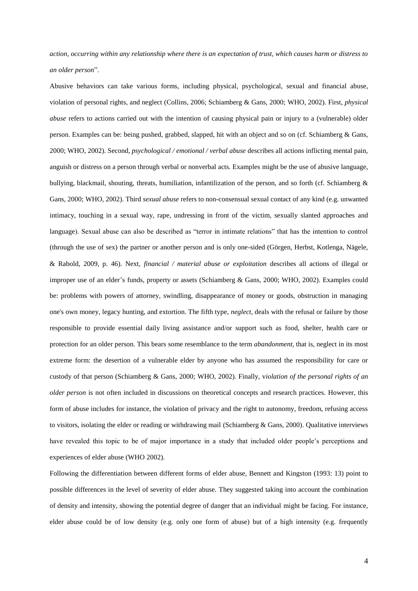*action, occurring within any relationship where there is an expectation of trust, which causes harm or distress to an older person*".

Abusive behaviors can take various forms, including physical, psychological, sexual and financial abuse, violation of personal rights, and neglect (Collins, 2006; Schiamberg & Gans, 2000; WHO, 2002). First, *physical abuse* refers to actions carried out with the intention of causing physical pain or injury to a (vulnerable) older person. Examples can be: being pushed, grabbed, slapped, hit with an object and so on (cf. Schiamberg & Gans, 2000; WHO, 2002). Second, *psychological / emotional / verbal abuse* describes all actions inflicting mental pain, anguish or distress on a person through verbal or nonverbal acts. Examples might be the use of abusive language, bullying, blackmail, shouting, threats, humiliation, infantilization of the person, and so forth (cf. Schiamberg & Gans, 2000; WHO, 2002). Third *sexual abuse* refers to non-consensual sexual contact of any kind (e.g. unwanted intimacy, touching in a sexual way, rape, undressing in front of the victim, sexually slanted approaches and language). Sexual abuse can also be described as "terror in intimate relations" that has the intention to control (through the use of sex) the partner or another person and is only one-sided (Görgen, Herbst, Kotlenga, Nägele, & Rabold, 2009, p. 46). Next, *financial / material abuse or exploitation* describes all actions of illegal or improper use of an elder's funds, property or assets (Schiamberg & Gans, 2000; WHO, 2002). Examples could be: problems with powers of attorney, swindling, disappearance of money or goods, obstruction in managing one's own money, legacy hunting, and extortion. The fifth type, *neglect*, deals with the refusal or failure by those responsible to provide essential daily living assistance and/or support such as food, shelter, health care or protection for an older person. This bears some resemblance to the term *abandonment,* that is, neglect in its most extreme form: the desertion of a vulnerable elder by anyone who has assumed the responsibility for care or custody of that person (Schiamberg & Gans, 2000; WHO, 2002). Finally, v*iolation of the personal rights of an older person* is not often included in discussions on theoretical concepts and research practices. However, this form of abuse includes for instance, the violation of privacy and the right to autonomy, freedom, refusing access to visitors, isolating the elder or reading or withdrawing mail (Schiamberg & Gans, 2000). Qualitative interviews have revealed this topic to be of major importance in a study that included older people's perceptions and experiences of elder abuse (WHO 2002).

Following the differentiation between different forms of elder abuse, Bennett and Kingston (1993: 13) point to possible differences in the level of severity of elder abuse. They suggested taking into account the combination of density and intensity, showing the potential degree of danger that an individual might be facing. For instance, elder abuse could be of low density (e.g. only one form of abuse) but of a high intensity (e.g. frequently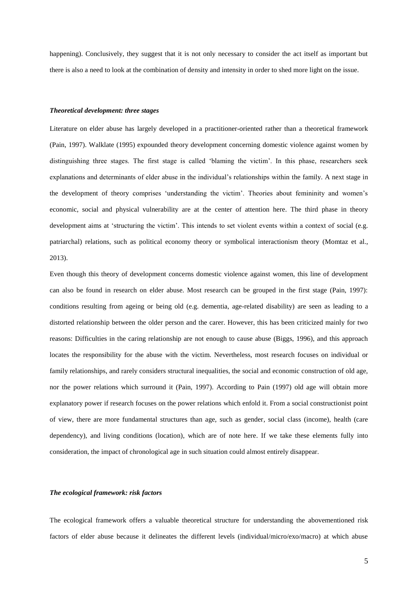happening). Conclusively, they suggest that it is not only necessary to consider the act itself as important but there is also a need to look at the combination of density and intensity in order to shed more light on the issue.

## *Theoretical development: three stages*

Literature on elder abuse has largely developed in a practitioner-oriented rather than a theoretical framework (Pain, 1997). Walklate (1995) expounded theory development concerning domestic violence against women by distinguishing three stages. The first stage is called 'blaming the victim'. In this phase, researchers seek explanations and determinants of elder abuse in the individual's relationships within the family. A next stage in the development of theory comprises 'understanding the victim'. Theories about femininity and women's economic, social and physical vulnerability are at the center of attention here. The third phase in theory development aims at 'structuring the victim'. This intends to set violent events within a context of social (e.g. patriarchal) relations, such as political economy theory or symbolical interactionism theory (Momtaz et al., 2013).

Even though this theory of development concerns domestic violence against women, this line of development can also be found in research on elder abuse. Most research can be grouped in the first stage (Pain, 1997): conditions resulting from ageing or being old (e.g. dementia, age-related disability) are seen as leading to a distorted relationship between the older person and the carer. However, this has been criticized mainly for two reasons: Difficulties in the caring relationship are not enough to cause abuse (Biggs, 1996), and this approach locates the responsibility for the abuse with the victim. Nevertheless, most research focuses on individual or family relationships, and rarely considers structural inequalities, the social and economic construction of old age, nor the power relations which surround it (Pain, 1997). According to Pain (1997) old age will obtain more explanatory power if research focuses on the power relations which enfold it. From a social constructionist point of view, there are more fundamental structures than age, such as gender, social class (income), health (care dependency), and living conditions (location), which are of note here. If we take these elements fully into consideration, the impact of chronological age in such situation could almost entirely disappear.

## *The ecological framework: risk factors*

The ecological framework offers a valuable theoretical structure for understanding the abovementioned risk factors of elder abuse because it delineates the different levels (individual/micro/exo/macro) at which abuse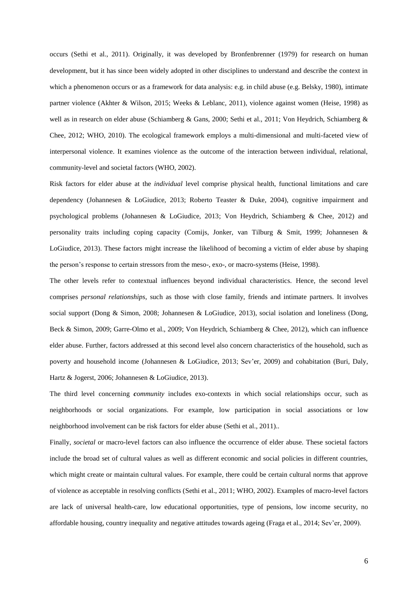occurs (Sethi et al., 2011). Originally, it was developed by Bronfenbrenner (1979) for research on human development, but it has since been widely adopted in other disciplines to understand and describe the context in which a phenomenon occurs or as a framework for data analysis: e.g. in child abuse (e.g. Belsky, 1980), intimate partner violence (Akhter & Wilson, 2015; Weeks & Leblanc, 2011), violence against women (Heise, 1998) as well as in research on elder abuse (Schiamberg & Gans, 2000; Sethi et al., 2011; Von Heydrich, Schiamberg & Chee, 2012; WHO, 2010). The ecological framework employs a multi-dimensional and multi-faceted view of interpersonal violence. It examines violence as the outcome of the interaction between individual, relational, community-level and societal factors (WHO, 2002).

Risk factors for elder abuse at the *individual* level comprise physical health, functional limitations and care dependency (Johannesen & LoGiudice, 2013; Roberto Teaster & Duke, 2004), cognitive impairment and psychological problems (Johannesen & LoGiudice, 2013; Von Heydrich, Schiamberg & Chee, 2012) and personality traits including coping capacity (Comijs, Jonker, van Tilburg & Smit, 1999; Johannesen & LoGiudice, 2013). These factors might increase the likelihood of becoming a victim of elder abuse by shaping the person's response to certain stressors from the meso-, exo-, or macro-systems (Heise, 1998).

The other levels refer to contextual influences beyond individual characteristics. Hence, the second level comprises *personal relationships*, such as those with close family, friends and intimate partners. It involves social support (Dong & Simon, 2008; Johannesen & LoGiudice, 2013), social isolation and loneliness (Dong, Beck & Simon, 2009; Garre-Olmo et al., 2009; Von Heydrich, Schiamberg & Chee, 2012), which can influence elder abuse. Further, factors addressed at this second level also concern characteristics of the household, such as poverty and household income (Johannesen & LoGiudice, 2013; Sev'er, 2009) and cohabitation (Buri, Daly, Hartz & Jogerst, 2006; Johannesen & LoGiudice, 2013).

The third level concerning *community* includes exo-contexts in which social relationships occur, such as neighborhoods or social organizations. For example, low participation in social associations or low neighborhood involvement can be risk factors for elder abuse (Sethi et al., 2011)..

Finally, *societal* or macro-level factors can also influence the occurrence of elder abuse. These societal factors include the broad set of cultural values as well as different economic and social policies in different countries, which might create or maintain cultural values. For example, there could be certain cultural norms that approve of violence as acceptable in resolving conflicts (Sethi et al., 2011; WHO, 2002). Examples of macro-level factors are lack of universal health-care, low educational opportunities, type of pensions, low income security, no affordable housing, country inequality and negative attitudes towards ageing (Fraga et al., 2014; Sev'er, 2009).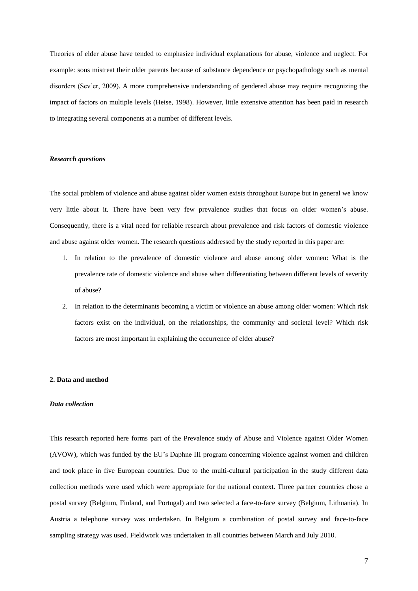Theories of elder abuse have tended to emphasize individual explanations for abuse, violence and neglect. For example: sons mistreat their older parents because of substance dependence or psychopathology such as mental disorders (Sev'er, 2009). A more comprehensive understanding of gendered abuse may require recognizing the impact of factors on multiple levels (Heise, 1998). However, little extensive attention has been paid in research to integrating several components at a number of different levels.

#### *Research questions*

The social problem of violence and abuse against older women exists throughout Europe but in general we know very little about it. There have been very few prevalence studies that focus on older women's abuse. Consequently, there is a vital need for reliable research about prevalence and risk factors of domestic violence and abuse against older women. The research questions addressed by the study reported in this paper are:

- 1. In relation to the prevalence of domestic violence and abuse among older women: What is the prevalence rate of domestic violence and abuse when differentiating between different levels of severity of abuse?
- 2. In relation to the determinants becoming a victim or violence an abuse among older women: Which risk factors exist on the individual, on the relationships, the community and societal level? Which risk factors are most important in explaining the occurrence of elder abuse?

## **2. Data and method**

#### *Data collection*

This research reported here forms part of the Prevalence study of Abuse and Violence against Older Women (AVOW), which was funded by the EU's Daphne III program concerning violence against women and children and took place in five European countries. Due to the multi-cultural participation in the study different data collection methods were used which were appropriate for the national context. Three partner countries chose a postal survey (Belgium, Finland, and Portugal) and two selected a face-to-face survey (Belgium, Lithuania). In Austria a telephone survey was undertaken. In Belgium a combination of postal survey and face-to-face sampling strategy was used. Fieldwork was undertaken in all countries between March and July 2010.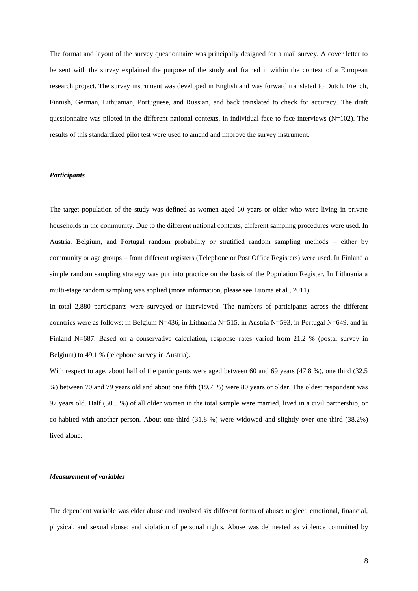The format and layout of the survey questionnaire was principally designed for a mail survey. A cover letter to be sent with the survey explained the purpose of the study and framed it within the context of a European research project. The survey instrument was developed in English and was forward translated to Dutch, French, Finnish, German, Lithuanian, Portuguese, and Russian, and back translated to check for accuracy. The draft questionnaire was piloted in the different national contexts, in individual face-to-face interviews  $(N=102)$ . The results of this standardized pilot test were used to amend and improve the survey instrument.

## *Participants*

The target population of the study was defined as women aged 60 years or older who were living in private households in the community. Due to the different national contexts, different sampling procedures were used. In Austria, Belgium, and Portugal random probability or stratified random sampling methods – either by community or age groups – from different registers (Telephone or Post Office Registers) were used. In Finland a simple random sampling strategy was put into practice on the basis of the Population Register. In Lithuania a multi-stage random sampling was applied (more information, please see Luoma et al., 2011).

In total 2,880 participants were surveyed or interviewed. The numbers of participants across the different countries were as follows: in Belgium N=436, in Lithuania N=515, in Austria N=593, in Portugal N=649, and in Finland N=687. Based on a conservative calculation, response rates varied from 21.2 % (postal survey in Belgium) to 49.1 % (telephone survey in Austria).

With respect to age, about half of the participants were aged between 60 and 69 years (47.8 %), one third (32.5 %) between 70 and 79 years old and about one fifth (19.7 %) were 80 years or older. The oldest respondent was 97 years old. Half (50.5 %) of all older women in the total sample were married, lived in a civil partnership, or co-habited with another person. About one third (31.8 %) were widowed and slightly over one third (38.2%) lived alone.

#### *Measurement of variables*

The dependent variable was elder abuse and involved six different forms of abuse: neglect, emotional, financial, physical, and sexual abuse; and violation of personal rights. Abuse was delineated as violence committed by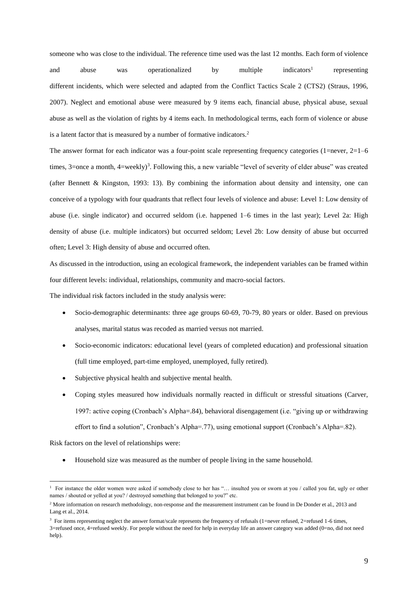someone who was close to the individual. The reference time used was the last 12 months. Each form of violence and abuse was operationalized by multiple indicators<sup>1</sup> representing different incidents, which were selected and adapted from the Conflict Tactics Scale 2 (CTS2) (Straus, 1996, 2007). Neglect and emotional abuse were measured by 9 items each, financial abuse, physical abuse, sexual abuse as well as the violation of rights by 4 items each. In methodological terms, each form of violence or abuse is a latent factor that is measured by a number of formative indicators.<sup>2</sup>

The answer format for each indicator was a four-point scale representing frequency categories (1=never, 2=1–6 times,  $3$ =once a month,  $4$ =weekly $3$ . Following this, a new variable "level of severity of elder abuse" was created (after Bennett & Kingston, 1993: 13). By combining the information about density and intensity, one can conceive of a typology with four quadrants that reflect four levels of violence and abuse: Level 1: Low density of abuse (i.e. single indicator) and occurred seldom (i.e. happened 1–6 times in the last year); Level 2a: High density of abuse (i.e. multiple indicators) but occurred seldom; Level 2b: Low density of abuse but occurred often; Level 3: High density of abuse and occurred often.

As discussed in the introduction, using an ecological framework, the independent variables can be framed within four different levels: individual, relationships, community and macro-social factors.

The individual risk factors included in the study analysis were:

- Socio-demographic determinants: three age groups 60-69, 70-79, 80 years or older. Based on previous analyses, marital status was recoded as married versus not married.
- Socio-economic indicators: educational level (years of completed education) and professional situation (full time employed, part-time employed, unemployed, fully retired).
- Subjective physical health and subjective mental health.
- Coping styles measured how individuals normally reacted in difficult or stressful situations (Carver, 1997: active coping (Cronbach's Alpha=.84), behavioral disengagement (i.e. "giving up or withdrawing effort to find a solution", Cronbach's Alpha=.77), using emotional support (Cronbach's Alpha=.82).

Risk factors on the level of relationships were:

1

Household size was measured as the number of people living in the same household.

<sup>1</sup> For instance the older women were asked if somebody close to her has "… insulted you or sworn at you / called you fat, ugly or other names / shouted or yelled at you? / destroyed something that belonged to you?" etc.

<sup>&</sup>lt;sup>2</sup> More information on research methodology, non-response and the measurement instrument can be found in De Donder et al., 2013 and Lang et al., 2014.

<sup>&</sup>lt;sup>3</sup> For items representing neglect the answer format/scale represents the frequency of refusals (1=never refused, 2=refused 1-6 times, 3=refused once, 4=refused weekly. For people without the need for help in everyday life an answer category was added (0=no, did not need help).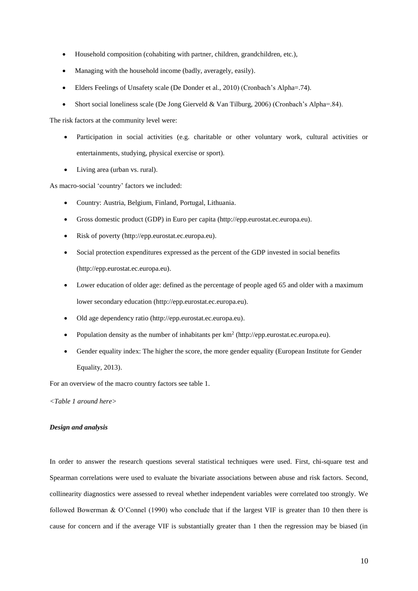- Household composition (cohabiting with partner, children, grandchildren, etc.),
- Managing with the household income (badly, averagely, easily).
- Elders Feelings of Unsafety scale (De Donder et al., 2010) (Cronbach's Alpha=.74).
- Short social loneliness scale (De Jong Gierveld & Van Tilburg, 2006) (Cronbach's Alpha=.84).

The risk factors at the community level were:

- Participation in social activities (e.g. charitable or other voluntary work, cultural activities or entertainments, studying, physical exercise or sport).
- Living area (urban vs. rural).

As macro-social 'country' factors we included:

- Country: Austria, Belgium, Finland, Portugal, Lithuania.
- Gross domestic product (GDP) in Euro per capita (http://epp.eurostat.ec.europa.eu).
- Risk of poverty (http://epp.eurostat.ec.europa.eu).
- Social protection expenditures expressed as the percent of the GDP invested in social benefits (http://epp.eurostat.ec.europa.eu).
- Lower education of older age: defined as the percentage of people aged 65 and older with a maximum lower secondary education (http://epp.eurostat.ec.europa.eu).
- Old age dependency ratio (http://epp.eurostat.ec.europa.eu).
- Population density as the number of inhabitants per  $km^2$  (http://epp.eurostat.ec.europa.eu).
- Gender equality index: The higher the score, the more gender equality (European Institute for Gender Equality, 2013).

For an overview of the macro country factors see table 1.

*<Table 1 around here>*

## *Design and analysis*

In order to answer the research questions several statistical techniques were used. First, chi-square test and Spearman correlations were used to evaluate the bivariate associations between abuse and risk factors. Second, collinearity diagnostics were assessed to reveal whether independent variables were correlated too strongly. We followed Bowerman & O'Connel (1990) who conclude that if the largest VIF is greater than 10 then there is cause for concern and if the average VIF is substantially greater than 1 then the regression may be biased (in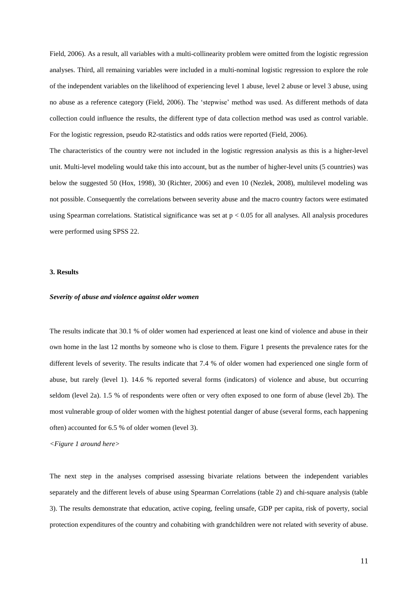Field, 2006). As a result, all variables with a multi-collinearity problem were omitted from the logistic regression analyses. Third, all remaining variables were included in a multi-nominal logistic regression to explore the role of the independent variables on the likelihood of experiencing level 1 abuse, level 2 abuse or level 3 abuse, using no abuse as a reference category (Field, 2006). The 'stepwise' method was used. As different methods of data collection could influence the results, the different type of data collection method was used as control variable. For the logistic regression, pseudo R2-statistics and odds ratios were reported (Field, 2006).

The characteristics of the country were not included in the logistic regression analysis as this is a higher-level unit. Multi-level modeling would take this into account, but as the number of higher-level units (5 countries) was below the suggested 50 (Hox, 1998), 30 (Richter, 2006) and even 10 (Nezlek, 2008), multilevel modeling was not possible. Consequently the correlations between severity abuse and the macro country factors were estimated using Spearman correlations. Statistical significance was set at  $p < 0.05$  for all analyses. All analysis procedures were performed using SPSS 22.

## **3. Results**

#### *Severity of abuse and violence against older women*

The results indicate that 30.1 % of older women had experienced at least one kind of violence and abuse in their own home in the last 12 months by someone who is close to them. Figure 1 presents the prevalence rates for the different levels of severity. The results indicate that 7.4 % of older women had experienced one single form of abuse, but rarely (level 1). 14.6 % reported several forms (indicators) of violence and abuse, but occurring seldom (level 2a). 1.5 % of respondents were often or very often exposed to one form of abuse (level 2b). The most vulnerable group of older women with the highest potential danger of abuse (several forms, each happening often) accounted for 6.5 % of older women (level 3).

*<Figure 1 around here>*

The next step in the analyses comprised assessing bivariate relations between the independent variables separately and the different levels of abuse using Spearman Correlations (table 2) and chi-square analysis (table 3). The results demonstrate that education, active coping, feeling unsafe, GDP per capita, risk of poverty, social protection expenditures of the country and cohabiting with grandchildren were not related with severity of abuse.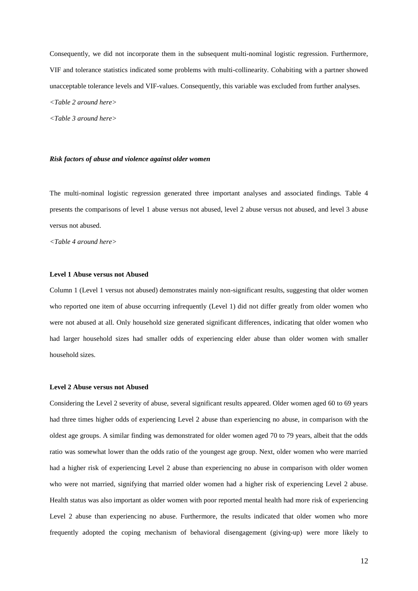Consequently, we did not incorporate them in the subsequent multi-nominal logistic regression. Furthermore, VIF and tolerance statistics indicated some problems with multi-collinearity. Cohabiting with a partner showed unacceptable tolerance levels and VIF-values. Consequently, this variable was excluded from further analyses. *<Table 2 around here>*

*<Table 3 around here>*

#### *Risk factors of abuse and violence against older women*

The multi-nominal logistic regression generated three important analyses and associated findings. Table 4 presents the comparisons of level 1 abuse versus not abused, level 2 abuse versus not abused, and level 3 abuse versus not abused.

*<Table 4 around here>*

## **Level 1 Abuse versus not Abused**

Column 1 (Level 1 versus not abused) demonstrates mainly non-significant results, suggesting that older women who reported one item of abuse occurring infrequently (Level 1) did not differ greatly from older women who were not abused at all. Only household size generated significant differences, indicating that older women who had larger household sizes had smaller odds of experiencing elder abuse than older women with smaller household sizes.

### **Level 2 Abuse versus not Abused**

Considering the Level 2 severity of abuse, several significant results appeared. Older women aged 60 to 69 years had three times higher odds of experiencing Level 2 abuse than experiencing no abuse, in comparison with the oldest age groups. A similar finding was demonstrated for older women aged 70 to 79 years, albeit that the odds ratio was somewhat lower than the odds ratio of the youngest age group. Next, older women who were married had a higher risk of experiencing Level 2 abuse than experiencing no abuse in comparison with older women who were not married, signifying that married older women had a higher risk of experiencing Level 2 abuse. Health status was also important as older women with poor reported mental health had more risk of experiencing Level 2 abuse than experiencing no abuse. Furthermore, the results indicated that older women who more frequently adopted the coping mechanism of behavioral disengagement (giving-up) were more likely to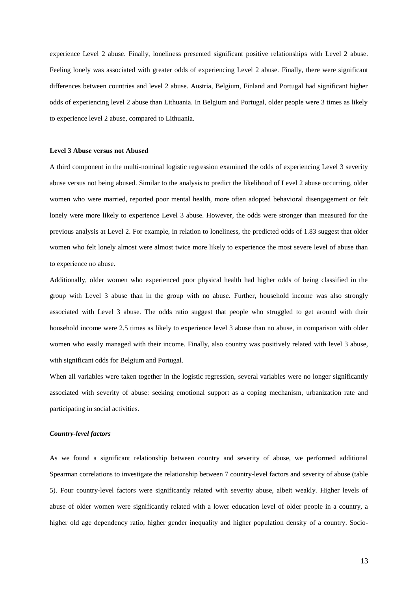experience Level 2 abuse. Finally, loneliness presented significant positive relationships with Level 2 abuse. Feeling lonely was associated with greater odds of experiencing Level 2 abuse. Finally, there were significant differences between countries and level 2 abuse. Austria, Belgium, Finland and Portugal had significant higher odds of experiencing level 2 abuse than Lithuania. In Belgium and Portugal, older people were 3 times as likely to experience level 2 abuse, compared to Lithuania.

### **Level 3 Abuse versus not Abused**

A third component in the multi-nominal logistic regression examined the odds of experiencing Level 3 severity abuse versus not being abused. Similar to the analysis to predict the likelihood of Level 2 abuse occurring, older women who were married, reported poor mental health, more often adopted behavioral disengagement or felt lonely were more likely to experience Level 3 abuse. However, the odds were stronger than measured for the previous analysis at Level 2. For example, in relation to loneliness, the predicted odds of 1.83 suggest that older women who felt lonely almost were almost twice more likely to experience the most severe level of abuse than to experience no abuse.

Additionally, older women who experienced poor physical health had higher odds of being classified in the group with Level 3 abuse than in the group with no abuse. Further, household income was also strongly associated with Level 3 abuse. The odds ratio suggest that people who struggled to get around with their household income were 2.5 times as likely to experience level 3 abuse than no abuse, in comparison with older women who easily managed with their income. Finally, also country was positively related with level 3 abuse, with significant odds for Belgium and Portugal.

When all variables were taken together in the logistic regression, several variables were no longer significantly associated with severity of abuse: seeking emotional support as a coping mechanism, urbanization rate and participating in social activities.

## *Country-level factors*

As we found a significant relationship between country and severity of abuse, we performed additional Spearman correlations to investigate the relationship between 7 country-level factors and severity of abuse (table 5). Four country-level factors were significantly related with severity abuse, albeit weakly. Higher levels of abuse of older women were significantly related with a lower education level of older people in a country, a higher old age dependency ratio, higher gender inequality and higher population density of a country. Socio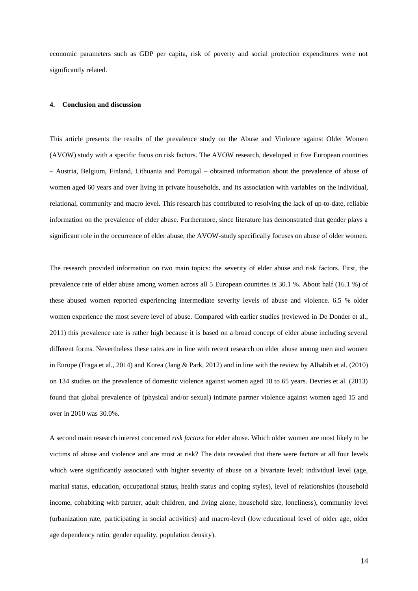economic parameters such as GDP per capita, risk of poverty and social protection expenditures were not significantly related.

## **4. Conclusion and discussion**

This article presents the results of the prevalence study on the Abuse and Violence against Older Women (AVOW) study with a specific focus on risk factors. The AVOW research, developed in five European countries – Austria, Belgium, Finland, Lithuania and Portugal – obtained information about the prevalence of abuse of women aged 60 years and over living in private households, and its association with variables on the individual, relational, community and macro level. This research has contributed to resolving the lack of up-to-date, reliable information on the prevalence of elder abuse. Furthermore, since literature has demonstrated that gender plays a significant role in the occurrence of elder abuse, the AVOW-study specifically focuses on abuse of older women.

The research provided information on two main topics: the severity of elder abuse and risk factors. First, the prevalence rate of elder abuse among women across all 5 European countries is 30.1 %. About half (16.1 %) of these abused women reported experiencing intermediate severity levels of abuse and violence. 6.5 % older women experience the most severe level of abuse. Compared with earlier studies (reviewed in De Donder et al., 2011) this prevalence rate is rather high because it is based on a broad concept of elder abuse including several different forms. Nevertheless these rates are in line with recent research on elder abuse among men and women in Europe (Fraga et al., 2014) and Korea (Jang & Park, 2012) and in line with the review by Alhabib et al. (2010) on 134 studies on the prevalence of domestic violence against women aged 18 to 65 years. Devries et al. (2013) found that global prevalence of (physical and/or sexual) intimate partner violence against women aged 15 and over in 2010 was 30.0%.

A second main research interest concerned *risk factors* for elder abuse. Which older women are most likely to be victims of abuse and violence and are most at risk? The data revealed that there were factors at all four levels which were significantly associated with higher severity of abuse on a bivariate level: individual level (age, marital status, education, occupational status, health status and coping styles), level of relationships (household income, cohabiting with partner, adult children, and living alone, household size, loneliness), community level (urbanization rate, participating in social activities) and macro-level (low educational level of older age, older age dependency ratio, gender equality, population density).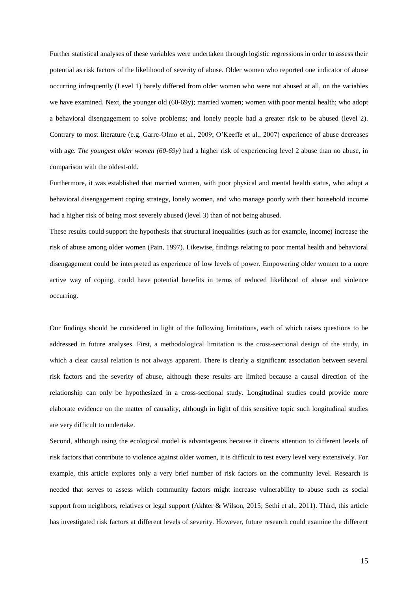Further statistical analyses of these variables were undertaken through logistic regressions in order to assess their potential as risk factors of the likelihood of severity of abuse. Older women who reported one indicator of abuse occurring infrequently (Level 1) barely differed from older women who were not abused at all, on the variables we have examined. Next, the younger old (60-69y); married women; women with poor mental health; who adopt a behavioral disengagement to solve problems; and lonely people had a greater risk to be abused (level 2). Contrary to most literature (e.g. Garre-Olmo et al., 2009; O'Keeffe et al., 2007) experience of abuse decreases with age. *The youngest older women (60-69y)* had a higher risk of experiencing level 2 abuse than no abuse, in comparison with the oldest-old.

Furthermore, it was established that married women, with poor physical and mental health status, who adopt a behavioral disengagement coping strategy, lonely women, and who manage poorly with their household income had a higher risk of being most severely abused (level 3) than of not being abused.

These results could support the hypothesis that structural inequalities (such as for example, income) increase the risk of abuse among older women (Pain, 1997). Likewise, findings relating to poor mental health and behavioral disengagement could be interpreted as experience of low levels of power. Empowering older women to a more active way of coping, could have potential benefits in terms of reduced likelihood of abuse and violence occurring.

Our findings should be considered in light of the following limitations, each of which raises questions to be addressed in future analyses. First, a methodological limitation is the cross-sectional design of the study, in which a clear causal relation is not always apparent. There is clearly a significant association between several risk factors and the severity of abuse, although these results are limited because a causal direction of the relationship can only be hypothesized in a cross-sectional study. Longitudinal studies could provide more elaborate evidence on the matter of causality, although in light of this sensitive topic such longitudinal studies are very difficult to undertake.

Second, although using the ecological model is advantageous because it directs attention to different levels of risk factors that contribute to violence against older women, it is difficult to test every level very extensively. For example, this article explores only a very brief number of risk factors on the community level. Research is needed that serves to assess which community factors might increase vulnerability to abuse such as social support from neighbors, relatives or legal support (Akhter & Wilson, 2015; Sethi et al., 2011). Third, this article has investigated risk factors at different levels of severity. However, future research could examine the different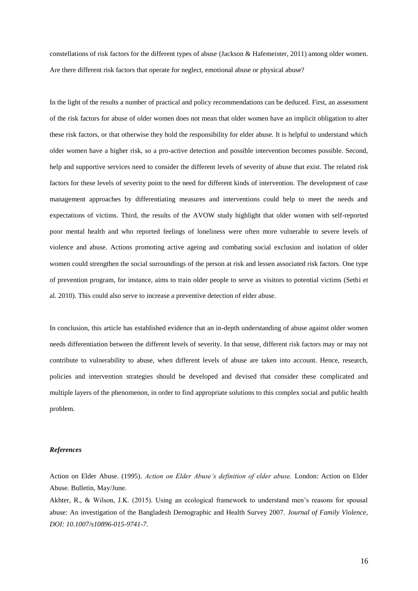constellations of risk factors for the different types of abuse (Jackson & Hafemeister, 2011) among older women. Are there different risk factors that operate for neglect, emotional abuse or physical abuse?

In the light of the results a number of practical and policy recommendations can be deduced. First, an assessment of the risk factors for abuse of older women does not mean that older women have an implicit obligation to alter these risk factors, or that otherwise they hold the responsibility for elder abuse. It is helpful to understand which older women have a higher risk, so a pro-active detection and possible intervention becomes possible. Second, help and supportive services need to consider the different levels of severity of abuse that exist. The related risk factors for these levels of severity point to the need for different kinds of intervention. The development of case management approaches by differentiating measures and interventions could help to meet the needs and expectations of victims. Third, the results of the AVOW study highlight that older women with self-reported poor mental health and who reported feelings of loneliness were often more vulnerable to severe levels of violence and abuse. Actions promoting active ageing and combating social exclusion and isolation of older women could strengthen the social surroundings of the person at risk and lessen associated risk factors. One type of prevention program, for instance, aims to train older people to serve as visitors to potential victims (Sethi et al. 2010). This could also serve to increase a preventive detection of elder abuse.

In conclusion, this article has established evidence that an in-depth understanding of abuse against older women needs differentiation between the different levels of severity. In that sense, different risk factors may or may not contribute to vulnerability to abuse, when different levels of abuse are taken into account. Hence, research, policies and intervention strategies should be developed and devised that consider these complicated and multiple layers of the phenomenon, in order to find appropriate solutions to this complex social and public health problem.

## *References*

Action on Elder Abuse. (1995). *Action on Elder Abuse's definition of elder abuse.* London: Action on Elder Abuse. Bulletin, May/June.

Akhter, R., & Wilson, J.K. (2015). Using an ecological framework to understand men's reasons for spousal abuse: An investigation of the Bangladesh Demographic and Health Survey 2007. *Journal of Family Violence, DOI: 10.1007/s10896-015-9741-7.*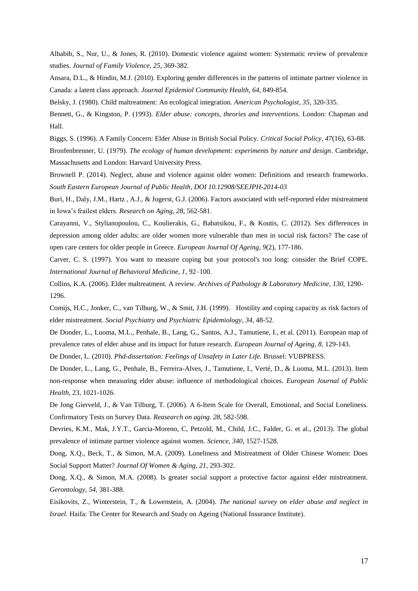Alhabib, S., Nur, U., & Jones, R. (2010). Domestic violence against women: Systematic review of prevalence studies. *Journal of Family Violence, 25,* 369-382.

Ansara, D.L., & Hindin, M.J. (2010). Exploring gender differences in the patterns of intimate partner violence in Canada: a latent class approach. *Journal Epidemiol Community Health*, *64*, 849-854.

Belsky, J. (1980). Child maltreatment: An ecological integration. *American Psychologist, 35*, 320-335.

Bennett, G., & Kingston, P. (1993). *Elder abuse: concepts, theories and interventions.* London: Chapman and Hall.

Biggs, S. (1996). A Family Concern: Elder Abuse in British Social Policy. *Critical Social Policy, 47*(16), 63-88.

Bronfenbrenner, U. (1979). *The ecology of human development: experiments by nature and design*. Cambridge, Massachusetts and London: Harvard University Press.

Brownell P. (2014). Neglect, abuse and violence against older women: Definitions and research frameworks. *South Eastern European Journal of Public Health, DOI 10.12908/SEEJPH-2014-03* 

Buri, H., Daly, J.M., Hartz , A.J., & Jogerst, G.J. (2006). Factors associated with self-reported elder mistreatment in Iowa's frailest elders. *Research on Aging, 28,* 562-581.

Carayanni, V., Stylianopoulou, C., Koulierakis, G., Babatsikou, F., & Koutis, C. (2012). Sex differences in depression among older adults: are older women more vulnerable than men in social risk factors? The case of open care centers for older people in Greece. *European Journal Of Ageing*, *9*(2), 177-186.

Carver, C. S. (1997). You want to measure coping but your protocol's too long: consider the Brief COPE. *International Journal of Behavioral Medicine, 1*, 92–100.

Collins, K.A. (2006). Elder maltreatment. A review. *Archives of Pathology & Laboratory Medicine, 130,* 1290- 1296.

Comijs, H.C., Jonker, C., van Tilburg, W., & Smit, J.H. (1999). Hostility and coping capacity as risk factors of elder mistreatment. *Social Psychiatry and Psychiatric Epidemiology*, *34*, 48-52.

De Donder, L., Luoma, M.L., Penhale, B., Lang, G., Santos, A.J., Tamutiene, I., et al. (2011). European map of prevalence rates of elder abuse and its impact for future research. *European Journal of Ageing, 8,* 129-143.

De Donder, L. (2010). *Phd-dissertation: Feelings of Unsafety in Later Life.* Brussel: VUBPRESS.

De Donder, L., Lang, G., Penhale, B., Ferreira-Alves, J., Tamutiene, I., Verté, D., & Luoma, M.L. (2013). Item non-response when measuring elder abuse: influence of methodological choices. *European Journal of Public Health,* 23, 1021-1026.

De Jong Gierveld, J., & Van Tilburg, T. (2006). A 6-Item Scale for Overall, Emotional, and Social Loneliness. Confirmatory Tests on Survey Data. *Reasearch on aging. 28*, 582-598.

Devries, K.M., Mak, J.Y.T., Garcia-Moreno, C, Petzold, M., Child, J.C., Falder, G. et al., (2013). The global prevalence of intimate partner violence against women. *Science, 340*, 1527-1528.

Dong, X.Q., Beck, T., & Simon, M.A. (2009). Loneliness and Mistreatment of Older Chinese Women: Does Social Support Matter? *Journal Of Women & Aging*, *21*, 293-302.

Dong, X.Q., & Simon, M.A. (2008). Is greater social support a protective factor against elder mistreatment. *Gerontology, 54,* 381-388.

Eisikovits, Z., Winterstein, T., & Lowenstein, A. (2004)*. The national survey on elder abuse and neglect in Israel.* Haifa: The Center for Research and Study on Ageing (National Insurance Institute).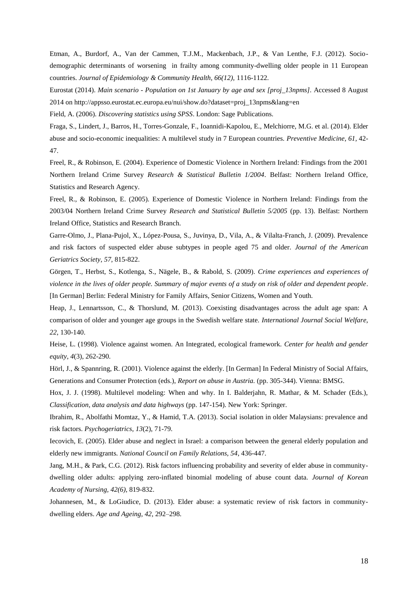Etman, A., Burdorf, A., Van der Cammen, T.J.M., Mackenbach, J.P., & Van Lenthe, F.J. (2012). Sociodemographic determinants of worsening in frailty among community-dwelling older people in 11 European countries. *Journal of Epidemiology & Community Health, 66(12),* 1116-1122.

Eurostat (2014). *Main scenario - Population on 1st January by age and sex [proj\_13npms].* Accessed 8 August 2014 on http://appsso.eurostat.ec.europa.eu/nui/show.do?dataset=proj\_13npms&lang=en

Field, A. (2006). *Discovering statistics using SPSS*. London: Sage Publications.

Fraga, S., Lindert, J., Barros, H., Torres-Gonzale, F., Ioannidi-Kapolou, E., Melchiorre, M.G. et al. (2014). Elder abuse and socio-economic inequalities: A multilevel study in 7 European countries. *Preventive Medicine, 61,* 42- 47.

Freel, R., & Robinson, E. (2004). Experience of Domestic Violence in Northern Ireland: Findings from the 2001 Northern Ireland Crime Survey *Research & Statistical Bulletin 1/2004*. Belfast: Northern Ireland Office, Statistics and Research Agency.

Freel, R., & Robinson, E. (2005). Experience of Domestic Violence in Northern Ireland: Findings from the 2003/04 Northern Ireland Crime Survey *Research and Statistical Bulletin 5/2005* (pp. 13). Belfast: Northern Ireland Office, Statistics and Research Branch.

Garre-Olmo, J., Plana-Pujol, X., López-Pousa, S., Juvinya, D., Vila, A., & Vilalta-Franch, J. (2009). Prevalence and risk factors of suspected elder abuse subtypes in people aged 75 and older. *Journal of the American Geriatrics Society*, *57,* 815-822.

Görgen, T., Herbst, S., Kotlenga, S., Nägele, B., & Rabold, S. (2009). *Crime experiences and experiences of violence in the lives of older people. Summary of major events of a study on risk of older and dependent people*. [In German] Berlin: Federal Ministry for Family Affairs, Senior Citizens, Women and Youth.

Heap, J., Lennartsson, C., & Thorslund, M. (2013). Coexisting disadvantages across the adult age span: A comparison of older and younger age groups in the Swedish welfare state. *International Journal Social Welfare*, *22*, 130-140.

Heise, L. (1998). Violence against women. An Integrated, ecological framework. *Center for health and gender equity, 4*(3), 262-290.

Hörl, J., & Spannring, R. (2001). Violence against the elderly. [In German] In Federal Ministry of Social Affairs, Generations and Consumer Protection (eds.), *Report on abuse in Austria.* (pp. 305-344). Vienna: BMSG.

Hox, J. J. (1998). Multilevel modeling: When and why. In I. Balderjahn, R. Mathar, & M. Schader (Eds.), *Classification, data analysis and data highways* (pp. 147-154). New York: Springer.

Ibrahim, R., Abolfathi Momtaz, Y., & Hamid, T.A. (2013). Social isolation in older Malaysians: prevalence and risk factors. *Psychogeriatrics*, *13*(2), 71-79.

Iecovich, E. (2005). Elder abuse and neglect in Israel: a comparison between the general elderly population and elderly new immigrants*. National Council on Family Relations, 54*, 436-447.

Jang, M.H., & Park, C.G. (2012). Risk factors influencing probability and severity of elder abuse in communitydwelling older adults: applying zero-inflated binomial modeling of abuse count data. *Journal of Korean Academy of Nursing, 42(6),* 819-832.

Johannesen, M., & LoGiudice, D. (2013). Elder abuse: a systematic review of risk factors in communitydwelling elders. *Age and Ageing*, *42*, 292–298.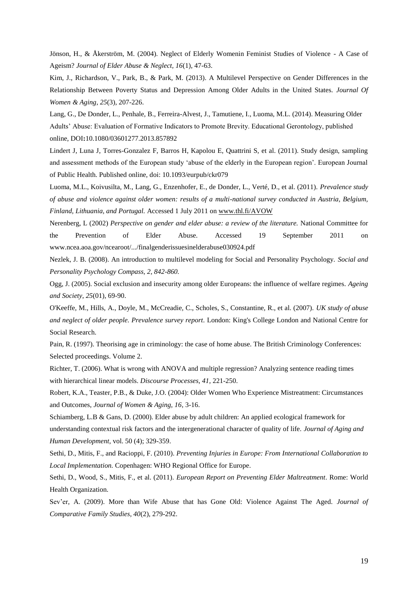Jönson, H., & Åkerström, M. (2004). Neglect of Elderly Womenin Feminist Studies of Violence - A Case of Ageism? *Journal of Elder Abuse & Neglect, 16*(1), 47-63.

Kim, J., Richardson, V., Park, B., & Park, M. (2013). A Multilevel Perspective on Gender Differences in the Relationship Between Poverty Status and Depression Among Older Adults in the United States. *Journal Of Women & Aging*, *25*(3), 207-226.

Lang, G., De Donder, L., Penhale, B., Ferreira-Alvest, J., Tamutiene, I., Luoma, M.L. (2014). Measuring Older Adults' Abuse: Evaluation of Formative Indicators to Promote Brevity. Educational Gerontology, published online, DOI**:**10.1080/03601277.2013.857892

Lindert J, Luna J, Torres-Gonzalez F, Barros H, Kapolou E, Quattrini S, et al. (2011). Study design, sampling and assessment methods of the European study 'abuse of the elderly in the European region'. European Journal of Public Health. Published online, doi: 10.1093/eurpub/ckr079

Luoma, M.L., Koivusilta, M., Lang, G., Enzenhofer, E., de Donder, L., Verté, D., et al. (2011). *Prevalence study of abuse and violence against older women: results of a multi-national survey conducted in Austria, Belgium, Finland, Lithuania, and Portugal.* Accessed 1 July 2011 on [www.thl.fi/AVOW](http://www.thl.fi/AVOW)

Nerenberg, L (2002) *Perspective on gender and elder abuse: a review of the literature.* National Committee for the Prevention of Elder Abuse. Accessed 19 September 2011 on www.ncea.aoa.gov/ncearoot/.../finalgenderissuesinelderabuse030924.pdf

Nezlek, J. B. (2008). An introduction to multilevel modeling for Social and Personality Psychology. *Social and Personality Psychology Compass, 2, 842-860.*

Ogg, J. (2005). Social exclusion and insecurity among older Europeans: the influence of welfare regimes. *Ageing and Society*, *25*(01), 69-90.

O'Keeffe, M., Hills, A., Doyle, M., McCreadie, C., Scholes, S., Constantine, R., et al. (2007). *UK study of abuse and neglect of older people. Prevalence survey report.* London: King's College London and National Centre for Social Research.

Pain, R. (1997). Theorising age in criminology: the case of home abuse. The British Criminology Conferences: Selected proceedings. Volume 2.

Richter, T. (2006). What is wrong with ANOVA and multiple regression? Analyzing sentence reading times with hierarchical linear models. *Discourse Processes, 41,* 221-250.

Robert, K.A., Teaster, P.B., & Duke, J.O. (2004): Older Women Who Experience Mistreatment: Circumstances and Outcomes, *Journal of Women & Aging, 16*, 3-16.

Schiamberg, L.B & Gans, D. (2000). Elder abuse by adult children: An applied ecological framework for understanding contextual risk factors and the intergenerational character of quality of life. *Journal of Aging and Human Development*, vol. 50 (4); 329-359.

Sethi, D., Mitis, F., and Racioppi, F. (2010). *Preventing Injuries in Europe: From International Collaboration to Local Implementation.* Copenhagen: WHO Regional Office for Europe.

Sethi, D., Wood, S., Mitis, F., et al. (2011). *European Report on Preventing Elder Maltreatment*. Rome: World Health Organization.

Sev'er, A. (2009). More than Wife Abuse that has Gone Old: Violence Against The Aged. *Journal of Comparative Family Studies, 40*(2), 279-292.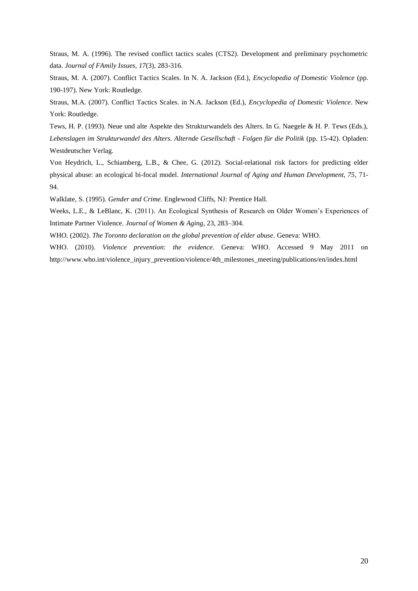Straus, M. A. (1996). The revised conflict tactics scales (CTS2). Development and preliminary psychometric data. *Journal of FAmily Issues, 17*(3), 283-316.

Straus, M. A. (2007). Conflict Tactics Scales. In N. A. Jackson (Ed.), *Encyclopedia of Domestic Violence* (pp. 190-197). New York: Routledge.

Straus, M.A. (2007). Conflict Tactics Scales. in N.A. Jackson (Ed.), *Encyclopedia of Domestic Violence*. New York: Routledge.

Tews, H. P. (1993). Neue und alte Aspekte des Strukturwandels des Alters. In G. Naegele & H. P. Tews (Eds.), *Lebenslagen im Strukturwandel des Alters. Alternde Gesellschaft - Folgen für die Politik* (pp. 15-42). Opladen: Westdeutscher Verlag.

Von Heydrich, L., Schiamberg, L.B., & Chee, G. (2012). Social-relational risk factors for predicting elder physical abuse: an ecological bi-focal model. *International Journal of Aging and Human Development, 75,* 71- 94.

Walklate, S. (1995). *Gender and Crime.* Englewood Cliffs, NJ: Prentice Hall.

Weeks, L.E., & LeBlanc, K. (2011). An Ecological Synthesis of Research on Older Women's Experiences of Intimate Partner Violence. *Journal of Women & Aging*, 23, 283–304.

WHO. (2002). *The Toronto declaration on the global prevention of elder abuse.* Geneva: WHO.

WHO. (2010). *Violence prevention: the evidence*. Geneva: WHO. Accessed 9 May 2011 on http://www.who.int/violence\_injury\_prevention/violence/4th\_milestones\_meeting/publications/en/index.html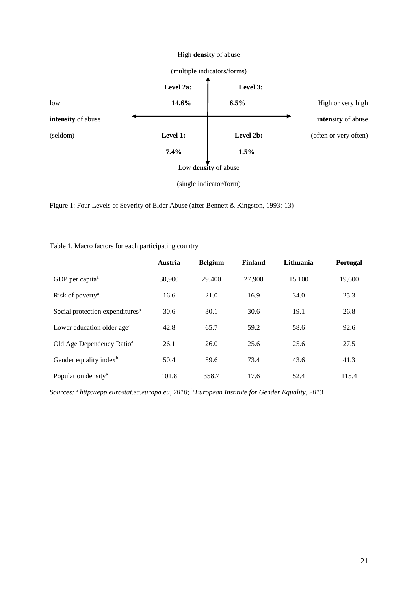

Figure 1: Four Levels of Severity of Elder Abuse (after Bennett & Kingston, 1993: 13)

|  | Table 1. Macro factors for each participating country |  |
|--|-------------------------------------------------------|--|
|--|-------------------------------------------------------|--|

|                                             | Austria | <b>Belgium</b> | Finland | Lithuania | <b>Portugal</b> |
|---------------------------------------------|---------|----------------|---------|-----------|-----------------|
| GDP per capita <sup>a</sup>                 | 30,900  | 29,400         | 27,900  | 15,100    | 19,600          |
| Risk of poverty <sup>a</sup>                | 16.6    | 21.0           | 16.9    | 34.0      | 25.3            |
| Social protection expenditures <sup>a</sup> | 30.6    | 30.1           | 30.6    | 19.1      | 26.8            |
| Lower education older age <sup>a</sup>      | 42.8    | 65.7           | 59.2    | 58.6      | 92.6            |
| Old Age Dependency Ratio <sup>a</sup>       | 26.1    | 26.0           | 25.6    | 25.6      | 27.5            |
| Gender equality index <sup>b</sup>          | 50.4    | 59.6           | 73.4    | 43.6      | 41.3            |
| Population density <sup>a</sup>             | 101.8   | 358.7          | 17.6    | 52.4      | 115.4           |

*Sources:* <sup>a</sup> *http://epp.eurostat.ec.europa.eu, 2010;* <sup>b</sup>*European Institute for Gender Equality, 2013*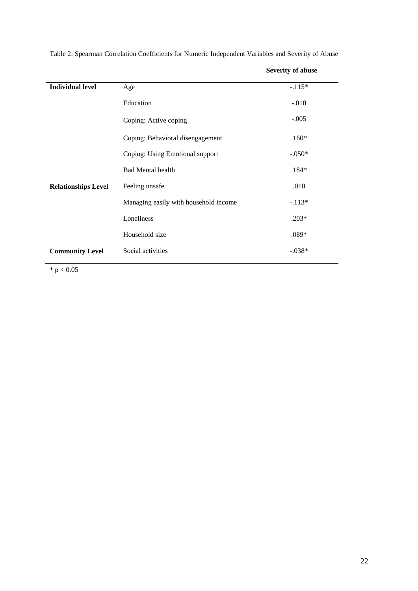|                            |                                       | <b>Severity of abuse</b> |
|----------------------------|---------------------------------------|--------------------------|
| <b>Individual level</b>    | Age                                   | $-.115*$                 |
|                            | Education                             | $-.010$                  |
|                            | Coping: Active coping                 | $-.005$                  |
|                            | Coping: Behavioral disengagement      | $.160*$                  |
|                            | Coping: Using Emotional support       | $-.050*$                 |
|                            | <b>Bad Mental health</b>              | $.184*$                  |
| <b>Relationships Level</b> | Feeling unsafe                        | .010                     |
|                            | Managing easily with household income | $-.113*$                 |
|                            | Loneliness                            | $.203*$                  |
|                            | Household size                        | $.089*$                  |
| <b>Community Level</b>     | Social activities                     | $-.038*$                 |

Table 2: Spearman Correlation Coefficients for Numeric Independent Variables and Severity of Abuse

 $* p < 0.05$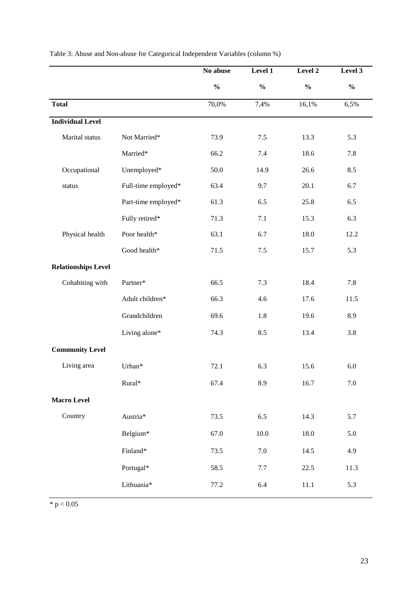|                            |                     | No abuse      | Level 1       | Level 2       | Level 3       |
|----------------------------|---------------------|---------------|---------------|---------------|---------------|
|                            |                     | $\frac{0}{0}$ | $\frac{0}{0}$ | $\frac{0}{0}$ | $\frac{0}{0}$ |
| <b>Total</b>               |                     | 70,0%         | 7,4%          | 16,1%         | 6,5%          |
| <b>Individual Level</b>    |                     |               |               |               |               |
| Marital status             | Not Married*        | 73.9          | 7.5           | 13.3          | 5.3           |
|                            | Married*            | 66.2          | 7.4           | 18.6          | 7.8           |
| Occupational               | Unemployed*         | 50.0          | 14.9          | 26.6          | 8.5           |
| status                     | Full-time employed* | 63.4          | 9.7           | 20.1          | 6.7           |
|                            | Part-time employed* | 61.3          | 6.5           | 25.8          | 6.5           |
|                            | Fully retired*      | 71.3          | 7.1           | 15.3          | 6.3           |
| Physical health            | Poor health*        | 63.1          | 6.7           | 18.0          | 12.2          |
|                            | Good health*        | 71.5          | $7.5$         | 15.7          | 5.3           |
| <b>Relationships Level</b> |                     |               |               |               |               |
| Cohabiting with            | Partner*            | 66.5          | 7.3           | 18.4          | 7.8           |
|                            | Adult children*     | 66.3          | 4.6           | 17.6          | 11.5          |
|                            | Grandchildren       | 69.6          | 1.8           | 19.6          | 8.9           |
|                            | Living alone*       | 74.3          | 8.5           | 13.4          | 3.8           |
| <b>Community Level</b>     |                     |               |               |               |               |
| Living area                | Urban*              | 72.1          | 6.3           | 15.6          | 6.0           |
|                            | Rural*              | 67.4          | 8.9           | 16.7          | $7.0\,$       |
| <b>Macro Level</b>         |                     |               |               |               |               |
| Country                    | Austria*            | 73.5          | 6.5           | 14.3          | 5.7           |
|                            | Belgium*            | 67.0          | $10.0\,$      | 18.0          | 5.0           |
|                            | Finland*            | 73.5          | $7.0\,$       | 14.5          | 4.9           |
|                            | Portugal*           | 58.5          | 7.7           | 22.5          | 11.3          |
|                            | Lithuania*          | 77.2          | 6.4           | 11.1          | 5.3           |
|                            |                     |               |               |               |               |

Table 3: Abuse and Non-abuse for Categorical Independent Variables (column %)

 $* p < 0.05$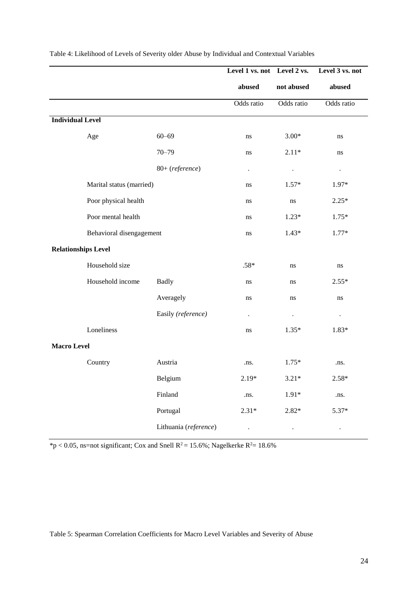|                            |                          |                       | Level 1 vs. not Level 2 vs. |            | Level 3 vs. not |
|----------------------------|--------------------------|-----------------------|-----------------------------|------------|-----------------|
|                            |                          |                       | abused                      | not abused | abused          |
|                            |                          |                       | Odds ratio                  | Odds ratio | Odds ratio      |
| <b>Individual Level</b>    |                          |                       |                             |            |                 |
|                            | Age                      | $60 - 69$             | ns                          | $3.00*$    | ns              |
|                            |                          | $70 - 79$             | ns                          | $2.11*$    | ns              |
|                            |                          | 80+ (reference)       | $\blacksquare$              |            |                 |
|                            | Marital status (married) |                       | ns                          | $1.57*$    | 1.97*           |
|                            | Poor physical health     |                       | ns                          | $\rm ns$   | $2.25*$         |
|                            | Poor mental health       |                       | ns                          | $1.23*$    | $1.75*$         |
|                            | Behavioral disengagement |                       | ns                          | $1.43*$    | $1.77*$         |
| <b>Relationships Level</b> |                          |                       |                             |            |                 |
|                            | Household size           |                       | $.58*$                      | ns         | ns              |
|                            | Household income         | <b>Badly</b>          | ns                          | ns         | $2.55*$         |
|                            |                          | Averagely             | ns                          | ns         | ns              |
|                            |                          | Easily (reference)    | $\cdot$                     | $\bullet$  | $\bullet$       |
|                            | Loneliness               |                       | ns                          | $1.35*$    | 1.83*           |
| <b>Macro Level</b>         |                          |                       |                             |            |                 |
|                            | Country                  | Austria               | .ns.                        | $1.75*$    | .ns.            |
|                            |                          | Belgium               | $2.19*$                     | $3.21*$    | $2.58*$         |
|                            |                          | Finland               | .ns.                        | $1.91*$    | .ns.            |
|                            |                          | Portugal              | $2.31*$                     | $2.82*$    | 5.37*           |
|                            |                          | Lithuania (reference) | $\cdot$                     |            | $\bullet$       |

Table 4: Likelihood of Levels of Severity older Abuse by Individual and Contextual Variables

 $*p < 0.05$ , ns=not significant; Cox and Snell R<sup>2</sup> = 15.6%; Nagelkerke R<sup>2</sup> = 18.6%